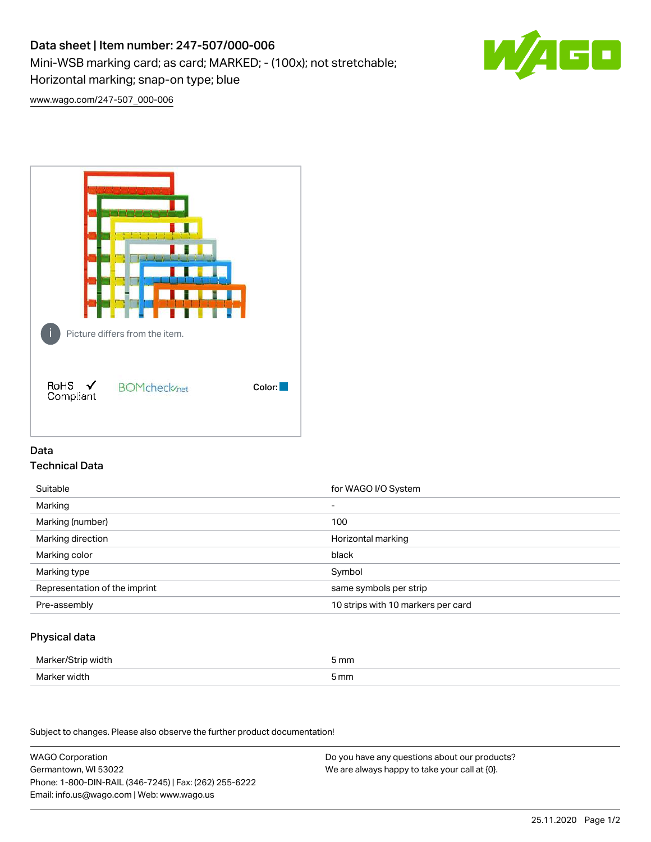# Data sheet | Item number: 247-507/000-006

Mini-WSB marking card; as card; MARKED; - (100x); not stretchable;

Horizontal marking; snap-on type; blue



[www.wago.com/247-507\\_000-006](http://www.wago.com/247-507_000-006)



## Data Technical Data

| Suitable                      | for WAGO I/O System                |
|-------------------------------|------------------------------------|
| Marking                       | $\overline{\phantom{0}}$           |
| Marking (number)              | 100                                |
| Marking direction             | Horizontal marking                 |
| Marking color                 | black                              |
| Marking type                  | Symbol                             |
| Representation of the imprint | same symbols per strip             |
| Pre-assembly                  | 10 strips with 10 markers per card |

## Physical data

| Marker/Strip width | 5 mm |
|--------------------|------|
| Marker width       | 5 mm |

Subject to changes. Please also observe the further product documentation!

WAGO Corporation Germantown, WI 53022 Phone: 1-800-DIN-RAIL (346-7245) | Fax: (262) 255-6222 Email: info.us@wago.com | Web: www.wago.us Do you have any questions about our products? We are always happy to take your call at {0}.